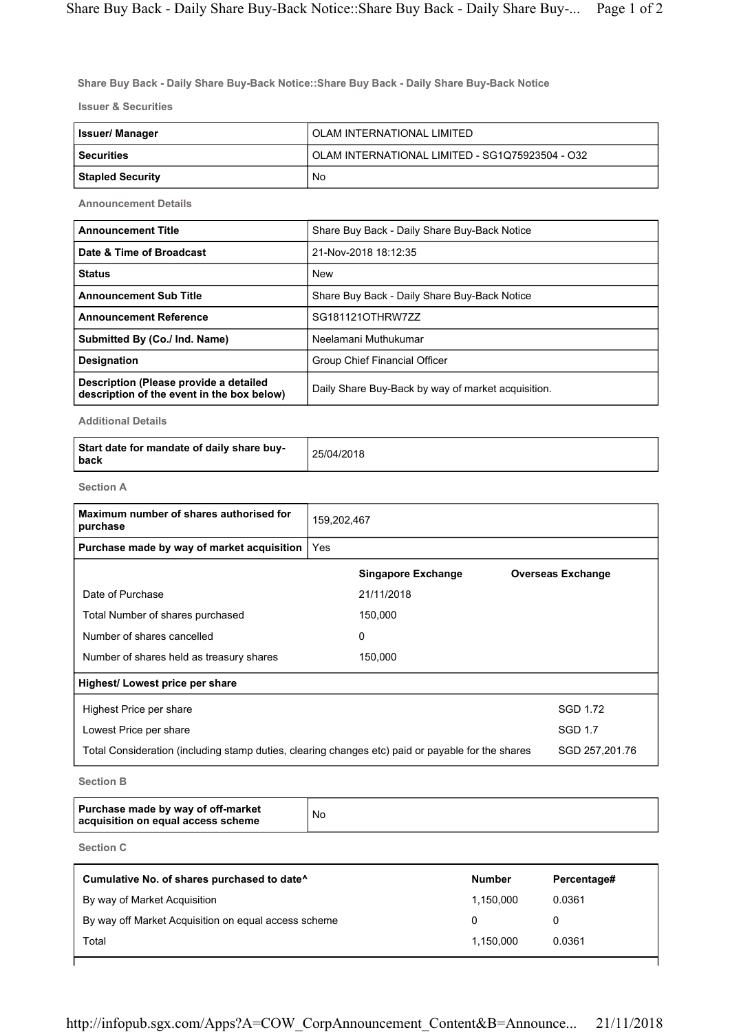Share Buy Back - Daily Share Buy-Back Notice::Share Buy Back - Daily Share Buy-Back Notice

Issuer & Securities

| Issuer/ Manager  | OLAM INTERNATIONAL LIMITED                      |
|------------------|-------------------------------------------------|
| l Securities     | OLAM INTERNATIONAL LIMITED - SG1Q75923504 - O32 |
| Stapled Security | No                                              |

Announcement Details

| <b>Announcement Title</b>                                                            | Share Buy Back - Daily Share Buy-Back Notice       |
|--------------------------------------------------------------------------------------|----------------------------------------------------|
| Date & Time of Broadcast                                                             | 21-Nov-2018 18:12:35                               |
| <b>Status</b>                                                                        | <b>New</b>                                         |
| <b>Announcement Sub Title</b>                                                        | Share Buy Back - Daily Share Buy-Back Notice       |
| <b>Announcement Reference</b>                                                        | SG181121OTHRW7ZZ                                   |
| Submitted By (Co./ Ind. Name)                                                        | Neelamani Muthukumar                               |
| <b>Designation</b>                                                                   | Group Chief Financial Officer                      |
| Description (Please provide a detailed<br>description of the event in the box below) | Daily Share Buy-Back by way of market acquisition. |

Additional Details

| Start date for mandate of daily share buy-<br>back | 25/04/2018 |
|----------------------------------------------------|------------|
|----------------------------------------------------|------------|

Section A

| Maximum number of shares authorised for<br>purchase                                               | 159,202,467 |                           |                          |
|---------------------------------------------------------------------------------------------------|-------------|---------------------------|--------------------------|
| Purchase made by way of market acquisition                                                        | Yes         |                           |                          |
|                                                                                                   |             | <b>Singapore Exchange</b> | <b>Overseas Exchange</b> |
| Date of Purchase                                                                                  |             | 21/11/2018                |                          |
| Total Number of shares purchased                                                                  |             | 150,000                   |                          |
| Number of shares cancelled                                                                        |             | 0                         |                          |
| Number of shares held as treasury shares                                                          |             | 150,000                   |                          |
| Highest/ Lowest price per share                                                                   |             |                           |                          |
| Highest Price per share                                                                           |             |                           | SGD 1.72                 |
| Lowest Price per share                                                                            |             |                           | <b>SGD 1.7</b>           |
| Total Consideration (including stamp duties, clearing changes etc) paid or payable for the shares |             |                           | SGD 257,201.76           |

Section B

| Purchase made by way of off-market<br>acquisition on equal access scheme | No |
|--------------------------------------------------------------------------|----|
|--------------------------------------------------------------------------|----|

Section C

| Cumulative No. of shares purchased to date <sup>^</sup> | <b>Number</b> | Percentage# |
|---------------------------------------------------------|---------------|-------------|
| By way of Market Acquisition                            | 1,150,000     | 0.0361      |
| By way off Market Acquisition on equal access scheme    |               | 0           |
| Total                                                   | 1,150,000     | 0.0361      |
|                                                         |               |             |